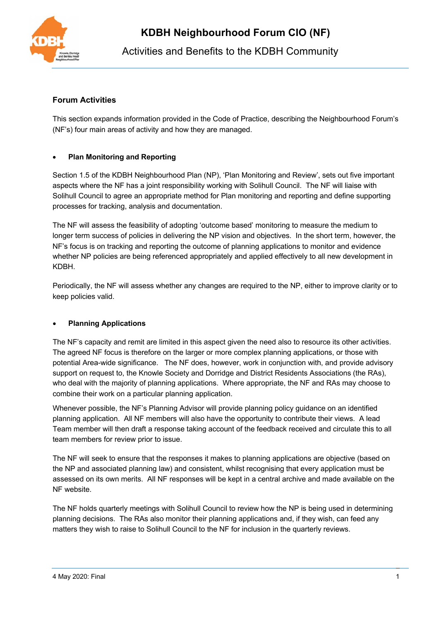

# Activities and Benefits to the KDBH Community

### **Forum Activities**

This section expands information provided in the Code of Practice, describing the Neighbourhood Forum's (NF's) four main areas of activity and how they are managed.

#### • **Plan Monitoring and Reporting**

Section 1.5 of the KDBH Neighbourhood Plan (NP), 'Plan Monitoring and Review', sets out five important aspects where the NF has a joint responsibility working with Solihull Council. The NF will liaise with Solihull Council to agree an appropriate method for Plan monitoring and reporting and define supporting processes for tracking, analysis and documentation.

The NF will assess the feasibility of adopting 'outcome based' monitoring to measure the medium to longer term success of policies in delivering the NP vision and objectives. In the short term, however, the NF's focus is on tracking and reporting the outcome of planning applications to monitor and evidence whether NP policies are being referenced appropriately and applied effectively to all new development in KDBH.

Periodically, the NF will assess whether any changes are required to the NP, either to improve clarity or to keep policies valid.

#### • **Planning Applications**

The NF's capacity and remit are limited in this aspect given the need also to resource its other activities. The agreed NF focus is therefore on the larger or more complex planning applications, or those with potential Area-wide significance. The NF does, however, work in conjunction with, and provide advisory support on request to, the Knowle Society and Dorridge and District Residents Associations (the RAs), who deal with the majority of planning applications. Where appropriate, the NF and RAs may choose to combine their work on a particular planning application.

Whenever possible, the NF's Planning Advisor will provide planning policy guidance on an identified planning application. All NF members will also have the opportunity to contribute their views. A lead Team member will then draft a response taking account of the feedback received and circulate this to all team members for review prior to issue.

The NF will seek to ensure that the responses it makes to planning applications are objective (based on the NP and associated planning law) and consistent, whilst recognising that every application must be assessed on its own merits. All NF responses will be kept in a central archive and made available on the NF website.

The NF holds quarterly meetings with Solihull Council to review how the NP is being used in determining planning decisions. The RAs also monitor their planning applications and, if they wish, can feed any matters they wish to raise to Solihull Council to the NF for inclusion in the quarterly reviews.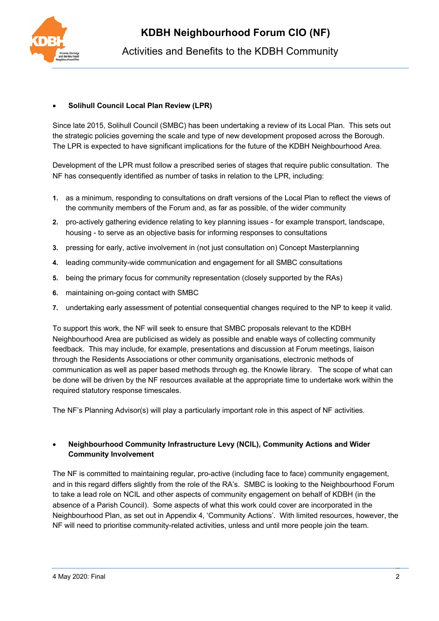

### • **Solihull Council Local Plan Review (LPR)**

Since late 2015, Solihull Council (SMBC) has been undertaking a review of its Local Plan. This sets out the strategic policies governing the scale and type of new development proposed across the Borough. The LPR is expected to have significant implications for the future of the KDBH Neighbourhood Area.

Development of the LPR must follow a prescribed series of stages that require public consultation. The NF has consequently identified as number of tasks in relation to the LPR, including:

- **1.** as a minimum, responding to consultations on draft versions of the Local Plan to reflect the views of the community members of the Forum and, as far as possible, of the wider community
- **2.** pro-actively gathering evidence relating to key planning issues for example transport, landscape, housing - to serve as an objective basis for informing responses to consultations
- **3.** pressing for early, active involvement in (not just consultation on) Concept Masterplanning
- **4.** leading community-wide communication and engagement for all SMBC consultations
- **5.** being the primary focus for community representation (closely supported by the RAs)
- **6.** maintaining on-going contact with SMBC
- **7.** undertaking early assessment of potential consequential changes required to the NP to keep it valid.

To support this work, the NF will seek to ensure that SMBC proposals relevant to the KDBH Neighbourhood Area are publicised as widely as possible and enable ways of collecting community feedback. This may include, for example, presentations and discussion at Forum meetings, liaison through the Residents Associations or other community organisations, electronic methods of communication as well as paper based methods through eg. the Knowle library. The scope of what can be done will be driven by the NF resources available at the appropriate time to undertake work within the required statutory response timescales.

The NF's Planning Advisor(s) will play a particularly important role in this aspect of NF activities.

### • **Neighbourhood Community Infrastructure Levy (NCIL), Community Actions and Wider Community Involvement**

The NF is committed to maintaining regular, pro-active (including face to face) community engagement, and in this regard differs slightly from the role of the RA's. SMBC is looking to the Neighbourhood Forum to take a lead role on NCIL and other aspects of community engagement on behalf of KDBH (in the absence of a Parish Council). Some aspects of what this work could cover are incorporated in the Neighbourhood Plan, as set out in Appendix 4, 'Community Actions'. With limited resources, however, the NF will need to prioritise community-related activities, unless and until more people join the team.